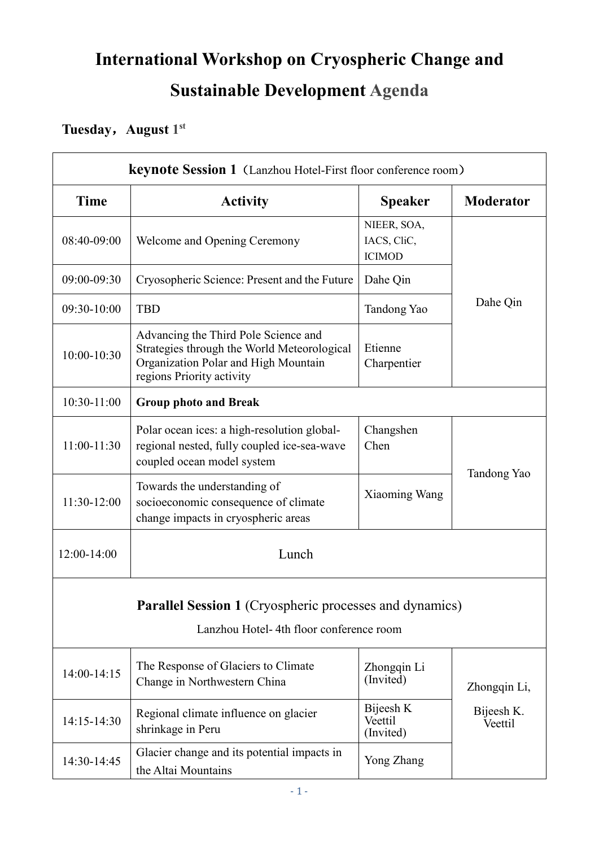## **International Workshop on Cryospheric Change and Sustainable Development Agenda**

## **Tuesday**,**August 1 st**

| <b>keynote Session 1</b> (Lanzhou Hotel-First floor conference room)                                      |                                                                                                                                                          |                                             |                       |  |
|-----------------------------------------------------------------------------------------------------------|----------------------------------------------------------------------------------------------------------------------------------------------------------|---------------------------------------------|-----------------------|--|
| Time                                                                                                      | <b>Activity</b>                                                                                                                                          | <b>Speaker</b>                              | <b>Moderator</b>      |  |
| 08:40-09:00                                                                                               | Welcome and Opening Ceremony                                                                                                                             | NIEER, SOA,<br>IACS, CliC,<br><b>ICIMOD</b> |                       |  |
| 09:00-09:30                                                                                               | Cryosopheric Science: Present and the Future                                                                                                             | Dahe Qin                                    |                       |  |
| 09:30-10:00                                                                                               | <b>TBD</b>                                                                                                                                               | Tandong Yao                                 | Dahe Qin              |  |
| 10:00-10:30                                                                                               | Advancing the Third Pole Science and<br>Strategies through the World Meteorological<br>Organization Polar and High Mountain<br>regions Priority activity | Etienne<br>Charpentier                      |                       |  |
| 10:30-11:00                                                                                               | <b>Group photo and Break</b>                                                                                                                             |                                             |                       |  |
| 11:00-11:30                                                                                               | Polar ocean ices: a high-resolution global-<br>regional nested, fully coupled ice-sea-wave<br>coupled ocean model system                                 | Changshen<br>Chen                           |                       |  |
| 11:30-12:00                                                                                               | Towards the understanding of<br>socioeconomic consequence of climate<br>change impacts in cryospheric areas                                              | Xiaoming Wang                               | Tandong Yao           |  |
| 12:00-14:00                                                                                               | Lunch                                                                                                                                                    |                                             |                       |  |
| <b>Parallel Session 1 (Cryospheric processes and dynamics)</b><br>Lanzhou Hotel-4th floor conference room |                                                                                                                                                          |                                             |                       |  |
| 14:00-14:15                                                                                               | The Response of Glaciers to Climate<br>Change in Northwestern China                                                                                      | Zhongqin Li<br>(Invited)                    | Zhongqin Li,          |  |
| 14:15-14:30                                                                                               | Regional climate influence on glacier<br>shrinkage in Peru                                                                                               | Bijeesh K<br>Veettil<br>(Invited)           | Bijeesh K.<br>Veettil |  |
| 14:30-14:45                                                                                               | Glacier change and its potential impacts in<br>the Altai Mountains                                                                                       | Yong Zhang                                  |                       |  |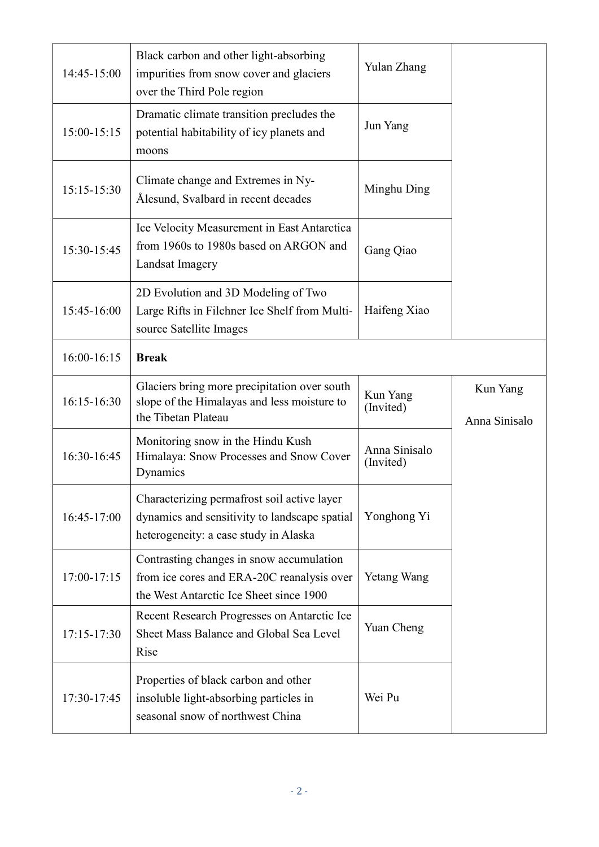| 14:45-15:00 | Black carbon and other light-absorbing<br>impurities from snow cover and glaciers<br>over the Third Pole region                       | Yulan Zhang                |                           |
|-------------|---------------------------------------------------------------------------------------------------------------------------------------|----------------------------|---------------------------|
| 15:00-15:15 | Dramatic climate transition precludes the<br>potential habitability of icy planets and<br>moons                                       | Jun Yang                   |                           |
| 15:15-15:30 | Climate change and Extremes in Ny-<br>Ålesund, Svalbard in recent decades                                                             | Minghu Ding                |                           |
| 15:30-15:45 | Ice Velocity Measurement in East Antarctica<br>from 1960s to 1980s based on ARGON and<br>Landsat Imagery                              | Gang Qiao                  |                           |
| 15:45-16:00 | 2D Evolution and 3D Modeling of Two<br>Large Rifts in Filchner Ice Shelf from Multi-<br>source Satellite Images                       | Haifeng Xiao               |                           |
| 16:00-16:15 | <b>Break</b>                                                                                                                          |                            |                           |
| 16:15-16:30 | Glaciers bring more precipitation over south<br>slope of the Himalayas and less moisture to<br>the Tibetan Plateau                    | Kun Yang<br>(Invited)      | Kun Yang<br>Anna Sinisalo |
| 16:30-16:45 | Monitoring snow in the Hindu Kush<br>Himalaya: Snow Processes and Snow Cover<br>Dynamics                                              | Anna Sinisalo<br>(Invited) |                           |
| 16:45-17:00 | Characterizing permafrost soil active layer<br>dynamics and sensitivity to landscape spatial<br>heterogeneity: a case study in Alaska | Yonghong Yi                |                           |
| 17:00-17:15 | Contrasting changes in snow accumulation<br>from ice cores and ERA-20C reanalysis over<br>the West Antarctic Ice Sheet since 1900     | <b>Yetang Wang</b>         |                           |
| 17:15-17:30 | Recent Research Progresses on Antarctic Ice<br>Sheet Mass Balance and Global Sea Level<br>Rise                                        | Yuan Cheng                 |                           |
| 17:30-17:45 | Properties of black carbon and other<br>insoluble light-absorbing particles in<br>seasonal snow of northwest China                    | Wei Pu                     |                           |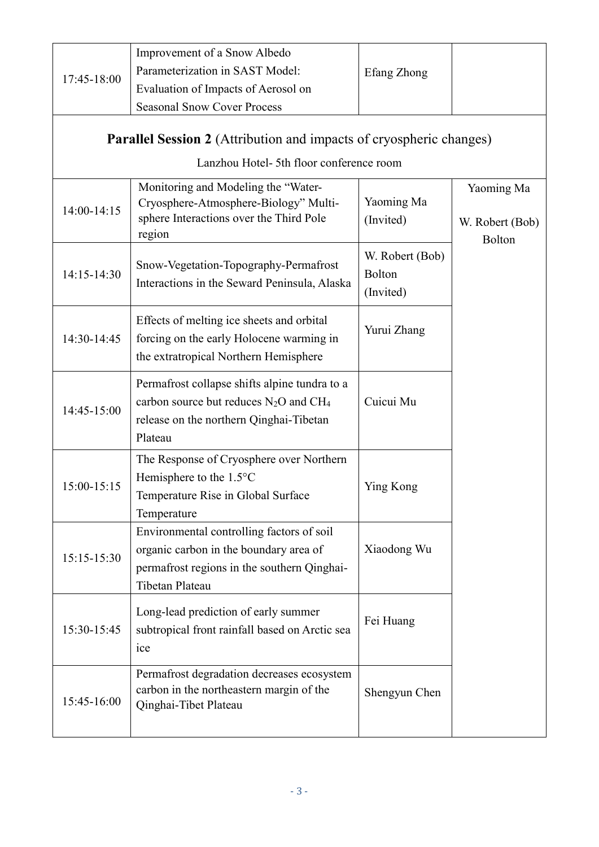|             | Improvement of a Snow Albedo                                                                                                                                |                                        |                                         |
|-------------|-------------------------------------------------------------------------------------------------------------------------------------------------------------|----------------------------------------|-----------------------------------------|
| 17:45-18:00 | Parameterization in SAST Model:                                                                                                                             | Efang Zhong                            |                                         |
|             | Evaluation of Impacts of Aerosol on                                                                                                                         |                                        |                                         |
|             | <b>Seasonal Snow Cover Process</b>                                                                                                                          |                                        |                                         |
|             | <b>Parallel Session 2</b> (Attribution and impacts of cryospheric changes)                                                                                  |                                        |                                         |
|             | Lanzhou Hotel- 5th floor conference room                                                                                                                    |                                        |                                         |
| 14:00-14:15 | Monitoring and Modeling the "Water-<br>Cryosphere-Atmosphere-Biology" Multi-<br>sphere Interactions over the Third Pole<br>region                           | Yaoming Ma<br>(Invited)                | Yaoming Ma<br>W. Robert (Bob)<br>Bolton |
| 14:15-14:30 | Snow-Vegetation-Topography-Permafrost<br>Interactions in the Seward Peninsula, Alaska                                                                       | W. Robert (Bob)<br>Bolton<br>(Invited) |                                         |
| 14:30-14:45 | Effects of melting ice sheets and orbital<br>forcing on the early Holocene warming in<br>the extratropical Northern Hemisphere                              | Yurui Zhang                            |                                         |
| 14:45-15:00 | Permafrost collapse shifts alpine tundra to a<br>carbon source but reduces $N_2O$ and CH <sub>4</sub><br>release on the northern Qinghai-Tibetan<br>Plateau | Cuicui Mu                              |                                         |
| 15:00-15:15 | The Response of Cryosphere over Northern<br>Hemisphere to the $1.5^{\circ}$ C<br>Temperature Rise in Global Surface<br>Temperature                          | Ying Kong                              |                                         |
| 15:15-15:30 | Environmental controlling factors of soil<br>organic carbon in the boundary area of<br>permafrost regions in the southern Qinghai-<br>Tibetan Plateau       | Xiaodong Wu                            |                                         |
| 15:30-15:45 | Long-lead prediction of early summer<br>subtropical front rainfall based on Arctic sea<br>ice                                                               | Fei Huang                              |                                         |
| 15:45-16:00 | Permafrost degradation decreases ecosystem<br>carbon in the northeastern margin of the<br>Qinghai-Tibet Plateau                                             | Shengyun Chen                          |                                         |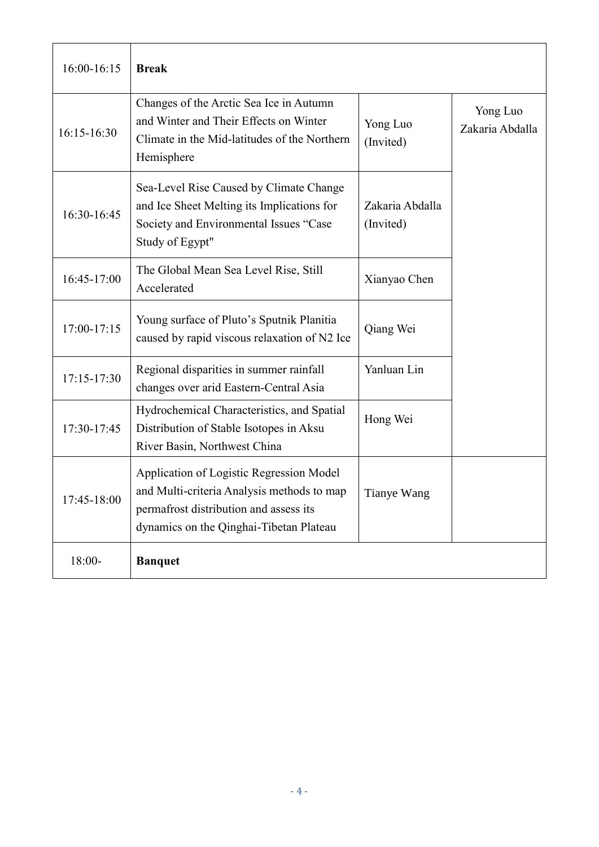| 16:00-16:15 | <b>Break</b>                                                                                                                                                                |                              |                             |
|-------------|-----------------------------------------------------------------------------------------------------------------------------------------------------------------------------|------------------------------|-----------------------------|
| 16:15-16:30 | Changes of the Arctic Sea Ice in Autumn<br>and Winter and Their Effects on Winter<br>Climate in the Mid-latitudes of the Northern<br>Hemisphere                             | Yong Luo<br>(Invited)        | Yong Luo<br>Zakaria Abdalla |
| 16:30-16:45 | Sea-Level Rise Caused by Climate Change<br>and Ice Sheet Melting its Implications for<br>Society and Environmental Issues "Case<br>Study of Egypt"                          | Zakaria Abdalla<br>(Invited) |                             |
| 16:45-17:00 | The Global Mean Sea Level Rise, Still<br>Accelerated                                                                                                                        | Xianyao Chen                 |                             |
| 17:00-17:15 | Young surface of Pluto's Sputnik Planitia<br>caused by rapid viscous relaxation of N2 Ice                                                                                   | Qiang Wei                    |                             |
| 17:15-17:30 | Regional disparities in summer rainfall<br>changes over arid Eastern-Central Asia                                                                                           | Yanluan Lin                  |                             |
| 17:30-17:45 | Hydrochemical Characteristics, and Spatial<br>Distribution of Stable Isotopes in Aksu<br>River Basin, Northwest China                                                       | Hong Wei                     |                             |
| 17:45-18:00 | Application of Logistic Regression Model<br>and Multi-criteria Analysis methods to map<br>permafrost distribution and assess its<br>dynamics on the Qinghai-Tibetan Plateau | Tianye Wang                  |                             |
| 18:00-      | <b>Banquet</b>                                                                                                                                                              |                              |                             |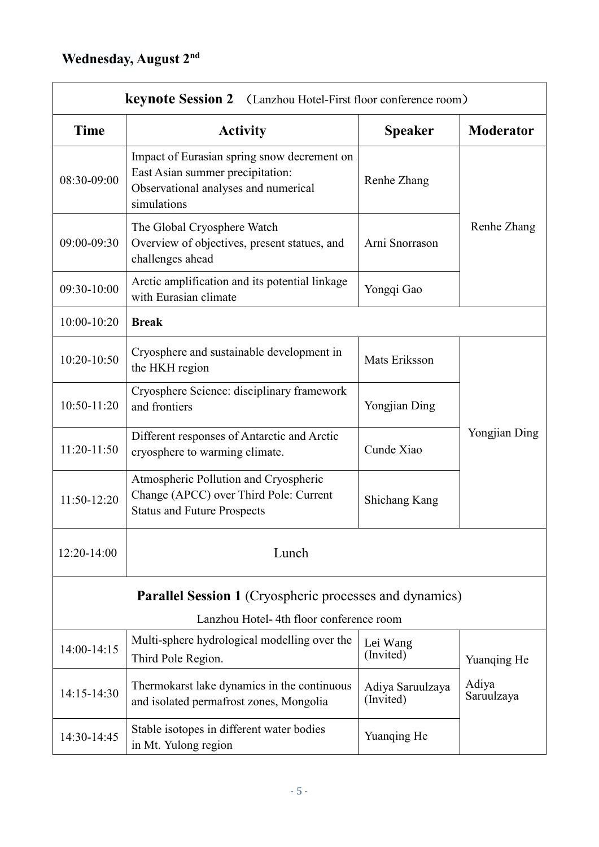| <b>keynote Session 2</b> (Lanzhou Hotel-First floor conference room) |                                                                                                                                        |                               |                     |
|----------------------------------------------------------------------|----------------------------------------------------------------------------------------------------------------------------------------|-------------------------------|---------------------|
| Time                                                                 | <b>Activity</b>                                                                                                                        | <b>Speaker</b>                | <b>Moderator</b>    |
| 08:30-09:00                                                          | Impact of Eurasian spring snow decrement on<br>East Asian summer precipitation:<br>Observational analyses and numerical<br>simulations | Renhe Zhang                   |                     |
| 09:00-09:30                                                          | The Global Cryosphere Watch<br>Overview of objectives, present statues, and<br>challenges ahead                                        | Arni Snorrason                | Renhe Zhang         |
| 09:30-10:00                                                          | Arctic amplification and its potential linkage<br>with Eurasian climate                                                                | Yongqi Gao                    |                     |
| 10:00-10:20                                                          | <b>Break</b>                                                                                                                           |                               |                     |
| 10:20-10:50                                                          | Cryosphere and sustainable development in<br>the HKH region                                                                            | Mats Eriksson                 |                     |
| 10:50-11:20                                                          | Cryosphere Science: disciplinary framework<br>and frontiers                                                                            | Yongjian Ding                 |                     |
| 11:20-11:50                                                          | Different responses of Antarctic and Arctic<br>cryosphere to warming climate.                                                          | Cunde Xiao                    | Yongjian Ding       |
| 11:50-12:20                                                          | Atmospheric Pollution and Cryospheric<br>Change (APCC) over Third Pole: Current<br><b>Status and Future Prospects</b>                  | Shichang Kang                 |                     |
| 12:20-14:00                                                          | Lunch                                                                                                                                  |                               |                     |
|                                                                      | <b>Parallel Session 1 (Cryospheric processes and dynamics)</b>                                                                         |                               |                     |
| Lanzhou Hotel- 4th floor conference room                             |                                                                                                                                        |                               |                     |
| $14:00-14:15$                                                        | Multi-sphere hydrological modelling over the<br>Third Pole Region.                                                                     | Lei Wang<br>(Invited)         | Yuanqing He         |
| 14:15-14:30                                                          | Thermokarst lake dynamics in the continuous<br>and isolated permafrost zones, Mongolia                                                 | Adiya Saruulzaya<br>(Invited) | Adiya<br>Saruulzaya |
| 14:30-14:45                                                          | Stable isotopes in different water bodies<br>in Mt. Yulong region                                                                      | Yuanqing He                   |                     |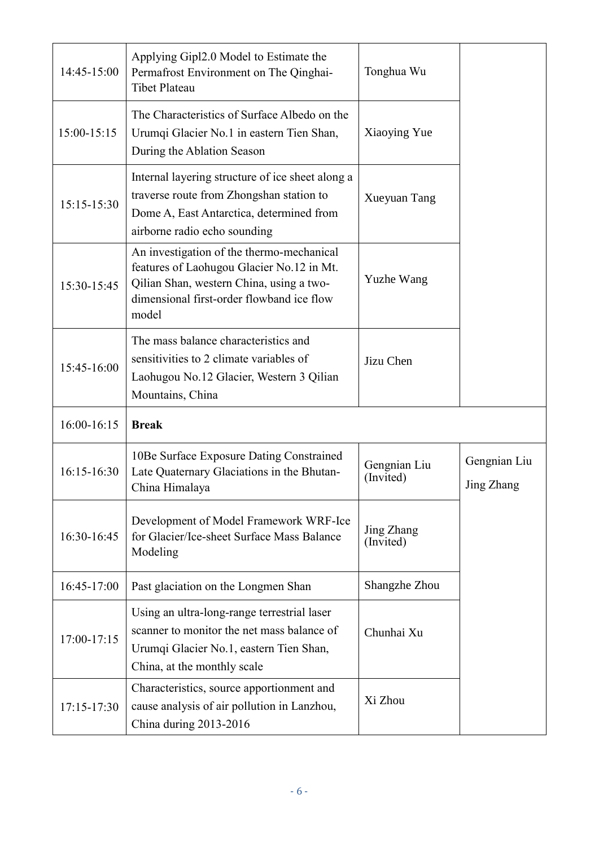| 14:45-15:00     | Applying Gipl2.0 Model to Estimate the<br>Permafrost Environment on The Qinghai-<br><b>Tibet Plateau</b>                                                                                 | Tonghua Wu                |                            |
|-----------------|------------------------------------------------------------------------------------------------------------------------------------------------------------------------------------------|---------------------------|----------------------------|
| 15:00-15:15     | The Characteristics of Surface Albedo on the<br>Urumqi Glacier No.1 in eastern Tien Shan,<br>During the Ablation Season                                                                  | Xiaoying Yue              |                            |
| 15:15-15:30     | Internal layering structure of ice sheet along a<br>traverse route from Zhongshan station to<br>Dome A, East Antarctica, determined from<br>airborne radio echo sounding                 | <b>Xueyuan Tang</b>       |                            |
| 15:30-15:45     | An investigation of the thermo-mechanical<br>features of Laohugou Glacier No.12 in Mt.<br>Qilian Shan, western China, using a two-<br>dimensional first-order flowband ice flow<br>model | Yuzhe Wang                |                            |
| 15:45-16:00     | The mass balance characteristics and<br>sensitivities to 2 climate variables of<br>Laohugou No.12 Glacier, Western 3 Qilian<br>Mountains, China                                          | Jizu Chen                 |                            |
| 16:00-16:15     | <b>Break</b>                                                                                                                                                                             |                           |                            |
| 16:15-16:30     | 10Be Surface Exposure Dating Constrained<br>Late Quaternary Glaciations in the Bhutan-<br>China Himalaya                                                                                 | Gengnian Liu<br>(Invited) | Gengnian Liu<br>Jing Zhang |
| 16:30-16:45     | Development of Model Framework WRF-Ice<br>for Glacier/Ice-sheet Surface Mass Balance<br>Modeling                                                                                         | Jing Zhang<br>(Invited)   |                            |
| 16:45-17:00     | Past glaciation on the Longmen Shan                                                                                                                                                      | Shangzhe Zhou             |                            |
| 17:00-17:15     | Using an ultra-long-range terrestrial laser<br>scanner to monitor the net mass balance of<br>Urumqi Glacier No.1, eastern Tien Shan,<br>China, at the monthly scale                      | Chunhai Xu                |                            |
| $17:15 - 17:30$ | Characteristics, source apportionment and<br>cause analysis of air pollution in Lanzhou,<br>China during 2013-2016                                                                       | Xi Zhou                   |                            |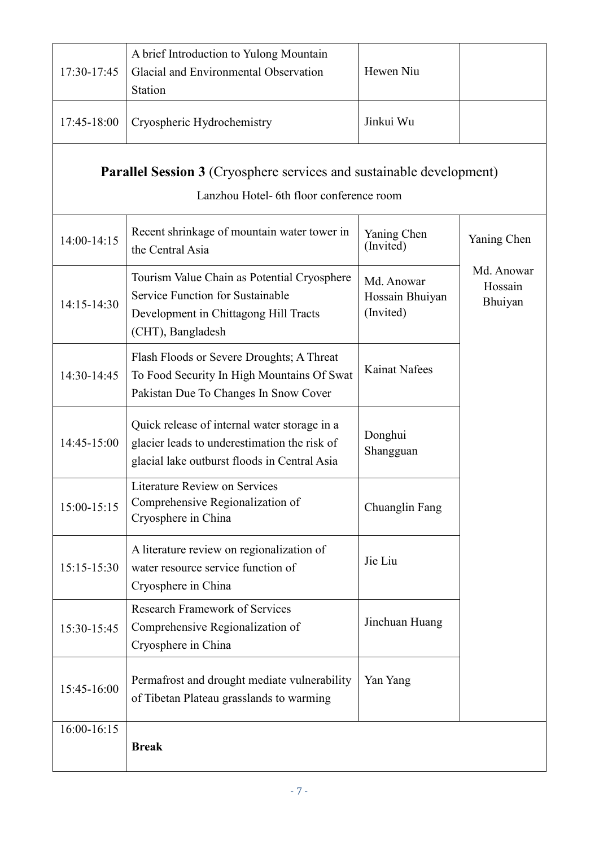| 17:30-17:45   | A brief Introduction to Yulong Mountain<br>Glacial and Environmental Observation<br>Station                                                   | Hewen Niu                                  |                                  |
|---------------|-----------------------------------------------------------------------------------------------------------------------------------------------|--------------------------------------------|----------------------------------|
| 17:45-18:00   | Cryospheric Hydrochemistry                                                                                                                    | Jinkui Wu                                  |                                  |
|               | Parallel Session 3 (Cryosphere services and sustainable development)<br>Lanzhou Hotel- 6th floor conference room                              |                                            |                                  |
| 14:00-14:15   | Recent shrinkage of mountain water tower in<br>the Central Asia                                                                               | Yaning Chen<br>(Invited)                   | Yaning Chen                      |
| 14:15-14:30   | Tourism Value Chain as Potential Cryosphere<br>Service Function for Sustainable<br>Development in Chittagong Hill Tracts<br>(CHT), Bangladesh | Md. Anowar<br>Hossain Bhuiyan<br>(Invited) | Md. Anowar<br>Hossain<br>Bhuiyan |
| 14:30-14:45   | Flash Floods or Severe Droughts; A Threat<br>To Food Security In High Mountains Of Swat<br>Pakistan Due To Changes In Snow Cover              | <b>Kainat Nafees</b>                       |                                  |
| 14:45-15:00   | Quick release of internal water storage in a<br>glacier leads to underestimation the risk of<br>glacial lake outburst floods in Central Asia  | Donghui<br>Shangguan                       |                                  |
| $15:00-15:15$ | Literature Review on Services<br>Comprehensive Regionalization of<br>Cryosphere in China                                                      | Chuanglin Fang                             |                                  |
| 15:15-15:30   | A literature review on regionalization of<br>water resource service function of<br>Cryosphere in China                                        | Jie Liu                                    |                                  |
| 15:30-15:45   | <b>Research Framework of Services</b><br>Comprehensive Regionalization of<br>Cryosphere in China                                              | Jinchuan Huang                             |                                  |
| 15:45-16:00   | Permafrost and drought mediate vulnerability<br>of Tibetan Plateau grasslands to warming                                                      | Yan Yang                                   |                                  |
| $16:00-16:15$ | <b>Break</b>                                                                                                                                  |                                            |                                  |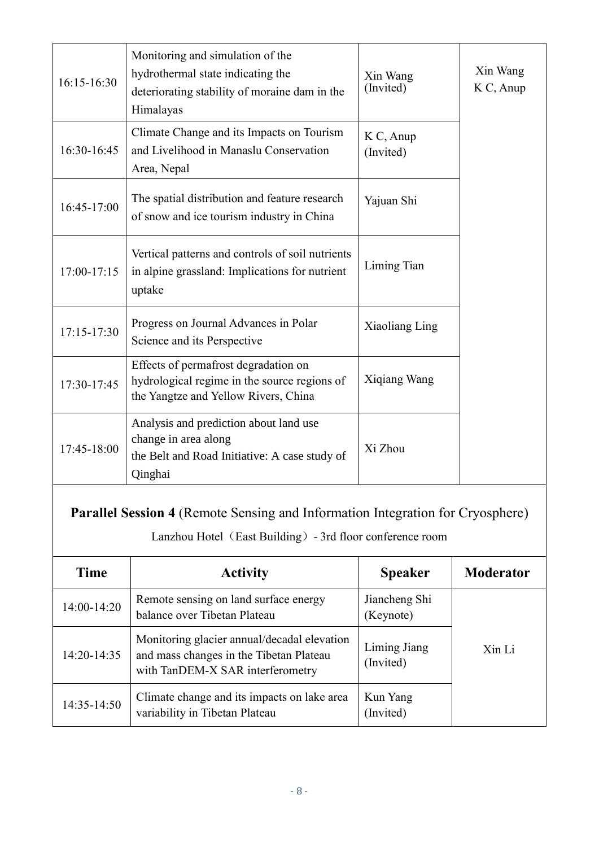| 16:15-16:30     | Monitoring and simulation of the<br>hydrothermal state indicating the<br>deteriorating stability of moraine dam in the<br>Himalayas                | Xin Wang<br>(Invited)      | Xin Wang<br>K C, Anup |
|-----------------|----------------------------------------------------------------------------------------------------------------------------------------------------|----------------------------|-----------------------|
| 16:30-16:45     | Climate Change and its Impacts on Tourism<br>and Livelihood in Manaslu Conservation<br>Area, Nepal                                                 | K C, Anup<br>(Invited)     |                       |
| 16:45-17:00     | The spatial distribution and feature research<br>of snow and ice tourism industry in China                                                         | Yajuan Shi                 |                       |
| $17:00-17:15$   | Vertical patterns and controls of soil nutrients<br>in alpine grassland: Implications for nutrient<br>uptake                                       | Liming Tian                |                       |
| $17:15 - 17:30$ | Progress on Journal Advances in Polar<br>Science and its Perspective                                                                               | Xiaoliang Ling             |                       |
| 17:30-17:45     | Effects of permafrost degradation on<br>hydrological regime in the source regions of<br>the Yangtze and Yellow Rivers, China                       | Xiqiang Wang               |                       |
| 17:45-18:00     | Analysis and prediction about land use<br>change in area along<br>the Belt and Road Initiative: A case study of<br>Qinghai                         | Xi Zhou                    |                       |
|                 | <b>Parallel Session 4 (Remote Sensing and Information Integration for Cryosphere)</b><br>Lanzhou Hotel (East Building) - 3rd floor conference room |                            |                       |
| <b>Time</b>     | <b>Activity</b>                                                                                                                                    | <b>Speaker</b>             | <b>Moderator</b>      |
| 14:00-14:20     | Remote sensing on land surface energy<br>balance over Tibetan Plateau                                                                              | Jiancheng Shi<br>(Keynote) |                       |
| 14:20-14:35     | Monitoring glacier annual/decadal elevation<br>and mass changes in the Tibetan Plateau<br>with TanDEM-X SAR interferometry                         | Liming Jiang<br>(Invited)  | Xin Li                |
| 14:35-14:50     | Climate change and its impacts on lake area                                                                                                        | Kun Yang                   |                       |

(Invited)

variability in Tibetan Plateau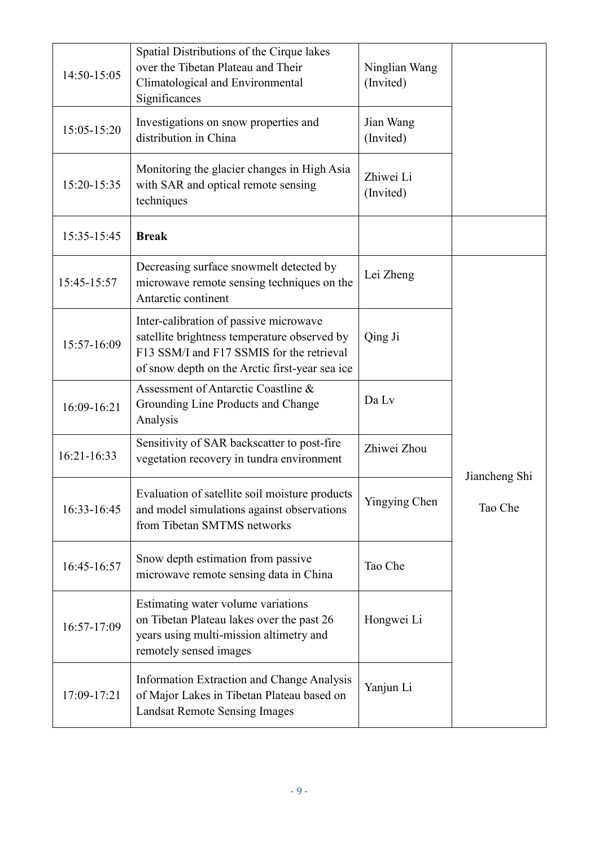| 14:50-15:05 | Spatial Distributions of the Cirque lakes<br>over the Tibetan Plateau and Their<br>Climatological and Environmental<br>Significances                                                  | Ninglian Wang<br>(Invited) |               |
|-------------|---------------------------------------------------------------------------------------------------------------------------------------------------------------------------------------|----------------------------|---------------|
| 15:05-15:20 | Investigations on snow properties and<br>distribution in China                                                                                                                        | Jian Wang<br>(Invited)     |               |
| 15:20-15:35 | Monitoring the glacier changes in High Asia<br>with SAR and optical remote sensing<br>techniques                                                                                      | Zhiwei Li<br>(Invited)     |               |
| 15:35-15:45 | <b>Break</b>                                                                                                                                                                          |                            |               |
| 15:45-15:57 | Decreasing surface snowmelt detected by<br>microwave remote sensing techniques on the<br>Antarctic continent                                                                          | Lei Zheng                  |               |
| 15:57-16:09 | Inter-calibration of passive microwave<br>satellite brightness temperature observed by<br>F13 SSM/I and F17 SSMIS for the retrieval<br>of snow depth on the Arctic first-year sea ice | Qing Ji                    |               |
| 16:09-16:21 | Assessment of Antarctic Coastline &<br>Grounding Line Products and Change<br>Analysis                                                                                                 | Da Lv                      |               |
| 16:21-16:33 | Sensitivity of SAR backscatter to post-fire<br>vegetation recovery in tundra environment                                                                                              | Zhiwei Zhou                | Jiancheng Shi |
| 16:33-16:45 | Evaluation of satellite soil moisture products<br>and model simulations against observations<br>from Tibetan SMTMS networks                                                           | Yingying Chen              | Tao Che       |
| 16:45-16:57 | Snow depth estimation from passive<br>microwave remote sensing data in China                                                                                                          | Tao Che                    |               |
| 16:57-17:09 | Estimating water volume variations<br>on Tibetan Plateau lakes over the past 26<br>years using multi-mission altimetry and<br>remotely sensed images                                  | Hongwei Li                 |               |
| 17:09-17:21 | <b>Information Extraction and Change Analysis</b><br>of Major Lakes in Tibetan Plateau based on<br><b>Landsat Remote Sensing Images</b>                                               | Yanjun Li                  |               |